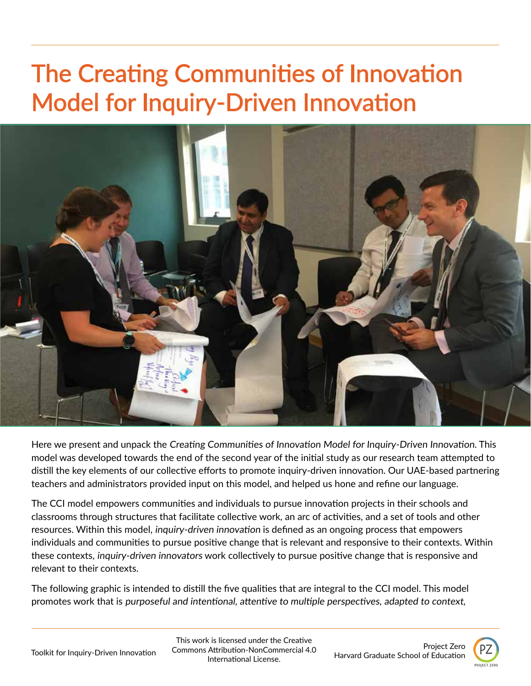# The Creating Communities of Innovation Model for Inquiry-Driven Innovation



Here we present and unpack the Creating Communities of Innovation Model for Inquiry-Driven Innovation. This model was developed towards the end of the second year of the initial study as our research team attempted to distill the key elements of our collective efforts to promote inquiry-driven innovation. Our UAE-based partnering teachers and administrators provided input on this model, and helped us hone and refine our language.

The CCI model empowers communities and individuals to pursue innovation projects in their schools and classrooms through structures that facilitate collective work, an arc of activities, and a set of tools and other resources. Within this model, inquiry-driven innovation is defined as an ongoing process that empowers individuals and communities to pursue positive change that is relevant and responsive to their contexts. Within these contexts, inquiry-driven innovators work collectively to pursue positive change that is responsive and relevant to their contexts. İ

The following graphic is intended to distill the five qualities that are integral to the CCI model. This model promotes work that is purposeful and intentional, attentive to multiple perspectives, adapted to context,

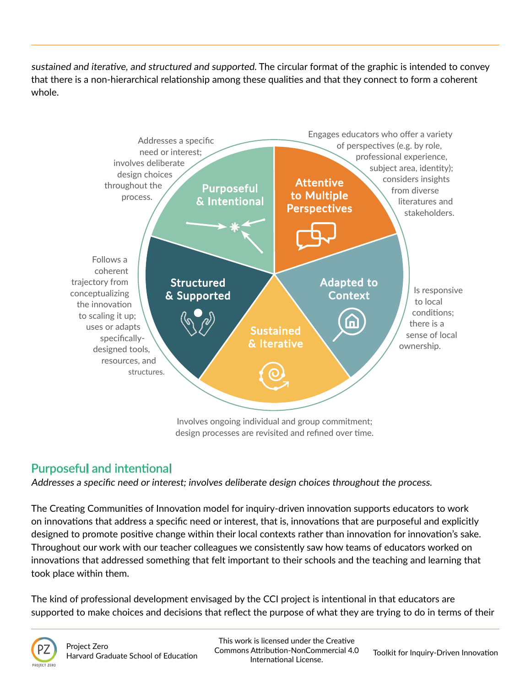sustained and iterative, and structured and supported. The circular format of the graphic is intended to convey that there is a non-hierarchical relationship among these qualities and that they connect to form a coherent whole.



design processes are revisited and refined over time.

## Purposeful and intentional

Addresses a specific need or interest; involves deliberate design choices throughout the process.

The Creating Communities of Innovation model for inquiry-driven innovation supports educators to work on innovations that address a specific need or interest, that is, innovations that are purposeful and explicitly designed to promote positive change within their local contexts rather than innovation for innovation's sake. Throughout our work with our teacher colleagues we consistently saw how teams of educators worked on innovations that addressed something that felt important to their schools and the teaching and learning that took place within them.

The kind of professional development envisaged by the CCI project is intentional in that educators are supported to make choices and decisions that reflect the purpose of what they are trying to do in terms of their

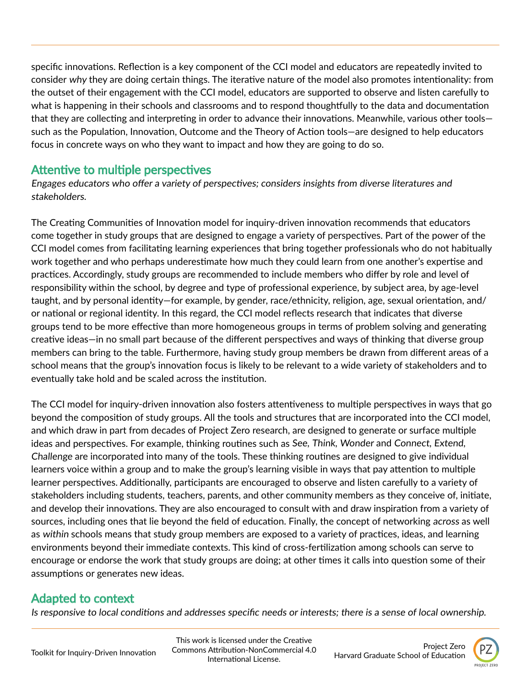specific innovations. Reflection is a key component of the CCI model and educators are repeatedly invited to consider why they are doing certain things. The iterative nature of the model also promotes intentionality: from the outset of their engagement with the CCI model, educators are supported to observe and listen carefully to what is happening in their schools and classrooms and to respond thoughtfully to the data and documentation that they are collecting and interpreting in order to advance their innovations. Meanwhile, various other tools such as the Population, Innovation, Outcome and the Theory of Action tools—are designed to help educators focus in concrete ways on who they want to impact and how they are going to do so.

### Attentive to multiple perspectives

Engages educators who offer a variety of perspectives; considers insights from diverse literatures and stakeholders.

The Creating Communities of Innovation model for inquiry-driven innovation recommends that educators come together in study groups that are designed to engage a variety of perspectives. Part of the power of the CCI model comes from facilitating learning experiences that bring together professionals who do not habitually work together and who perhaps underestimate how much they could learn from one another's expertise and practices. Accordingly, study groups are recommended to include members who differ by role and level of responsibility within the school, by degree and type of professional experience, by subject area, by age-level taught, and by personal identity—for example, by gender, race/ethnicity, religion, age, sexual orientation, and/ or national or regional identity. In this regard, the CCI model reflects research that indicates that diverse groups tend to be more effective than more homogeneous groups in terms of problem solving and generating creative ideas—in no small part because of the different perspectives and ways of thinking that diverse group members can bring to the table. Furthermore, having study group members be drawn from different areas of a school means that the group's innovation focus is likely to be relevant to a wide variety of stakeholders and to eventually take hold and be scaled across the institution.

The CCI model for inquiry-driven innovation also fosters attentiveness to multiple perspectives in ways that go beyond the composition of study groups. All the tools and structures that are incorporated into the CCI model, and which draw in part from decades of Project Zero research, are designed to generate or surface multiple ideas and perspectives. For example, thinking routines such as See, Think, Wonder and Connect, Extend, Challenge are incorporated into many of the tools. These thinking routines are designed to give individual learners voice within a group and to make the group's learning visible in ways that pay attention to multiple learner perspectives. Additionally, participants are encouraged to observe and listen carefully to a variety of stakeholders including students, teachers, parents, and other community members as they conceive of, initiate, and develop their innovations. They are also encouraged to consult with and draw inspiration from a variety of sources, including ones that lie beyond the field of education. Finally, the concept of networking across as well as within schools means that study group members are exposed to a variety of practices, ideas, and learning environments beyond their immediate contexts. This kind of cross-fertilization among schools can serve to encourage or endorse the work that study groups are doing; at other times it calls into question some of their assumptions or generates new ideas.

## Adapted to context

Is responsive to local conditions and addresses specific needs or interests; there is a sense of local ownership.

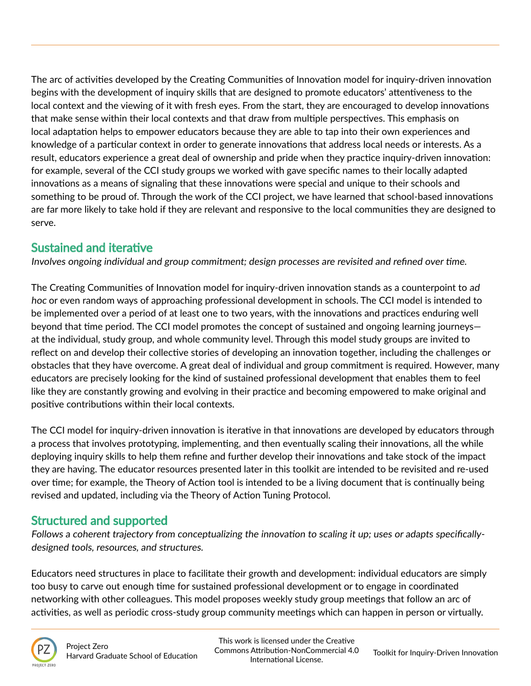The arc of activities developed by the Creating Communities of Innovation model for inquiry-driven innovation begins with the development of inquiry skills that are designed to promote educators' attentiveness to the local context and the viewing of it with fresh eyes. From the start, they are encouraged to develop innovations that make sense within their local contexts and that draw from multiple perspectives. This emphasis on local adaptation helps to empower educators because they are able to tap into their own experiences and knowledge of a particular context in order to generate innovations that address local needs or interests. As a result, educators experience a great deal of ownership and pride when they practice inquiry-driven innovation: for example, several of the CCI study groups we worked with gave specific names to their locally adapted innovations as a means of signaling that these innovations were special and unique to their schools and something to be proud of. Through the work of the CCI project, we have learned that school-based innovations are far more likely to take hold if they are relevant and responsive to the local communities they are designed to serve.

## Sustained and iterative

Involves ongoing individual and group commitment; design processes are revisited and refined over time.

The Creating Communities of Innovation model for inquiry-driven innovation stands as a counterpoint to ad hoc or even random ways of approaching professional development in schools. The CCI model is intended to be implemented over a period of at least one to two years, with the innovations and practices enduring well beyond that time period. The CCI model promotes the concept of sustained and ongoing learning journeys at the individual, study group, and whole community level. Through this model study groups are invited to reflect on and develop their collective stories of developing an innovation together, including the challenges or obstacles that they have overcome. A great deal of individual and group commitment is required. However, many educators are precisely looking for the kind of sustained professional development that enables them to feel like they are constantly growing and evolving in their practice and becoming empowered to make original and positive contributions within their local contexts.

The CCI model for inquiry-driven innovation is iterative in that innovations are developed by educators through a process that involves prototyping, implementing, and then eventually scaling their innovations, all the while deploying inquiry skills to help them refine and further develop their innovations and take stock of the impact they are having. The educator resources presented later in this toolkit are intended to be revisited and re-used over time; for example, the Theory of Action tool is intended to be a living document that is continually being revised and updated, including via the Theory of Action Tuning Protocol.

## Structured and supported

Follows a coherent trajectory from conceptualizing the innovation to scaling it up; uses or adapts specificallydesigned tools, resources, and structures.

Educators need structures in place to facilitate their growth and development: individual educators are simply too busy to carve out enough time for sustained professional development or to engage in coordinated networking with other colleagues. This model proposes weekly study group meetings that follow an arc of activities, as well as periodic cross-study group community meetings which can happen in person or virtually.

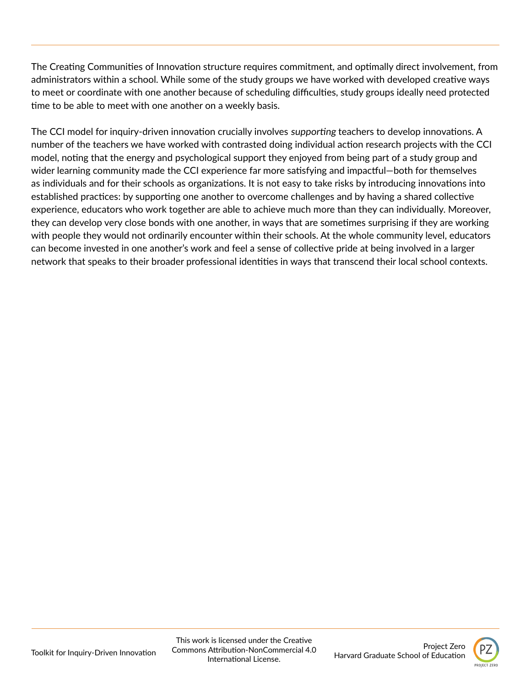The Creating Communities of Innovation structure requires commitment, and optimally direct involvement, from administrators within a school. While some of the study groups we have worked with developed creative ways to meet or coordinate with one another because of scheduling difficulties, study groups ideally need protected time to be able to meet with one another on a weekly basis.

The CCI model for inquiry-driven innovation crucially involves supporting teachers to develop innovations. A number of the teachers we have worked with contrasted doing individual action research projects with the CCI model, noting that the energy and psychological support they enjoyed from being part of a study group and wider learning community made the CCI experience far more satisfying and impactful—both for themselves as individuals and for their schools as organizations. It is not easy to take risks by introducing innovations into established practices: by supporting one another to overcome challenges and by having a shared collective experience, educators who work together are able to achieve much more than they can individually. Moreover, they can develop very close bonds with one another, in ways that are sometimes surprising if they are working with people they would not ordinarily encounter within their schools. At the whole community level, educators can become invested in one another's work and feel a sense of collective pride at being involved in a larger network that speaks to their broader professional identities in ways that transcend their local school contexts.

Project Zero